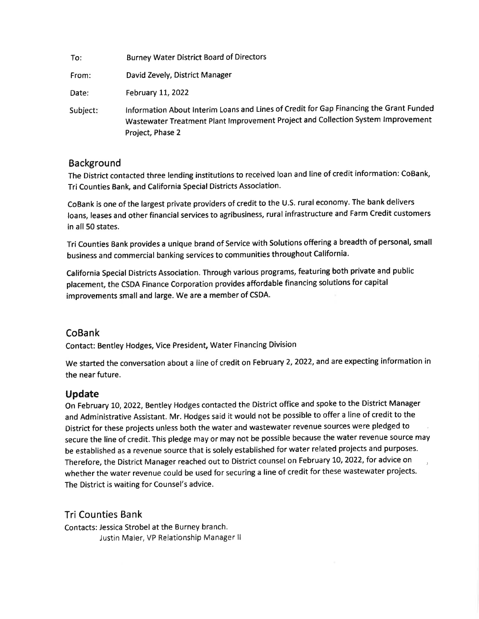| To:      | <b>Burney Water District Board of Directors</b>                                                                                                                                                |
|----------|------------------------------------------------------------------------------------------------------------------------------------------------------------------------------------------------|
| From:    | David Zevely, District Manager                                                                                                                                                                 |
| Date:    | <b>February 11, 2022</b>                                                                                                                                                                       |
| Subject: | Information About Interim Loans and Lines of Credit for Gap Financing the Grant Funded<br>Wastewater Treatment Plant Improvement Project and Collection System Improvement<br>Project, Phase 2 |

## Background

The District contacted three lending instítutions to received loan and line of credit informatíon: CoBank, Tri Counties Bank, and California Specíal Districts Association.

CoBank is one of the largest private providers of credit to the U.S. rural economy. The bank delivers loans, leases and other financial services to agribusiness, rural infrastructure and Farm Credit customers in all 50 states.

Tri Counties Bank provides a unique brand of Service with Solutions offering a breadth of personal, small business and commercial banking services to communities throughout California.

California Special Districts Association. Through various programs, featuring both private and public placement, the CSDA Finance Corporation provides affordable financing solutions for capital improvements small and large. We are a member of CSDA.

## CoBank

Contact: Bentley Hodges, Vice President, Water Fínancíng Division

We started the conversation about a line of credit on February 2, 2022, and are expecting information in the near future.

## Update

On February 10, 2022, Bentley Hodges contacted the District office and spoke to the District Manager and Administrative Assistant. Mr. Hodges said it would not be possible to offer a line of credit to the District for these projects unless both the water and wastewater revenue sources were pledged to secure the line of credit. This pledge may or may not be possible because the water revenue source may be established as a revenue source that is solely established for water related projects and purposes. Therefore, the District Manager reached out to District counsel on February 10, 2022, for advice on whether the water revenue could be used for securing a line of credit for these wastewater projects. The Dístrict is waiting for Counsel's advice.

## Tri Counties Bank

Contacts: Jessica Strobel at the Burney branch. Justin Maier, VP Relationship Manager ll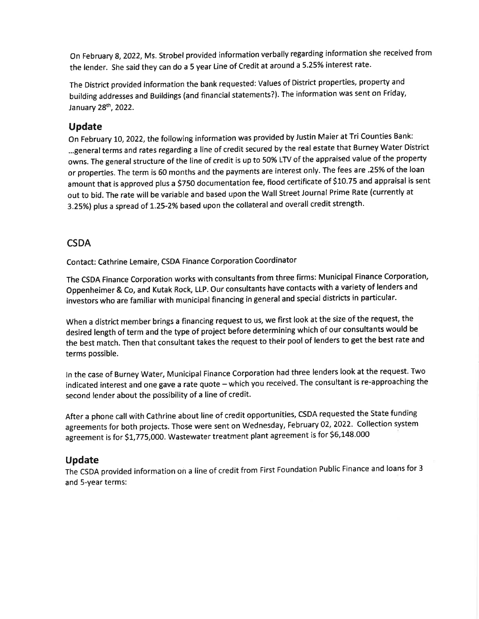On February 8, 2022, Ms. Strobel provided information verbally regarding information she received from the lender. She said they can do a 5 year Line of Credit at around a 5.25% interest rate.

The District provided information the bank requested: Values of District properties, property and building addresses and Buildings (and financial statements?). The information was sent on Friday, January 28<sup>th</sup>, 2022.

## Update

On February 10, 2022, the following information was provided by Justin Maier at Tri Counties Bank: ...general terms and rates regarding a line of credit secured by the real estate that Burney Water District owns. The general structure of the line of credit is up to 50% LTV of the appraised value of the property or propertíes. The term is 60 months and the payments are interest only. The fees are .25% of the loan amount that is approved plus a \$750 documentation fee, flood certificate of \$10.75 and appraisal is sent out to bíd. The rate will be variable and based upon the Wall Street Journal Prime Rate (currently at 3.25%) plus a spread of 1.25-2% based upon the collateral and overall credit strength.

## **CSDA**

Contact: Cathrine Lemaire, CSDA Fínance Corporation Coordinator

The CSDA Finance Corporation works with consultants from three firms: Municipal Finance Corporation, Oppenheimer & Co, and Kutak Rock, LLP. Our consultants have contacts with a variety of lenders and investors who are familiar with municipal financing in general and special districts in particular.

When a dístrict member brings a financing request to us, we first look at the size of the request, the desired length of term and the type of project before determining which of our consuftants would be the best match. Then that consultant takes the request to their pool of lenders to get the best rate and terms possible.

ln the case of Burney water, Municipal Finance Corporation had three lenders look at the request. Two indicated interest and one gave a rate quote - which you received. The consultant is re-approaching the second lender about the possibility of a line of credit.

After a phone call with Cathrine about line of credit opportunities, CSDA requested the State funding agreements for both projects. Those were sent on Wednesday, February 02, 2022. Collection system agreement is for \$1,775,000. Wastewater treatment plant agreement is for \$6,148.000

## Update

The CSDA provided information on a line of credit from First Foundation Public Finance and loans for <sup>3</sup> and S-year terms: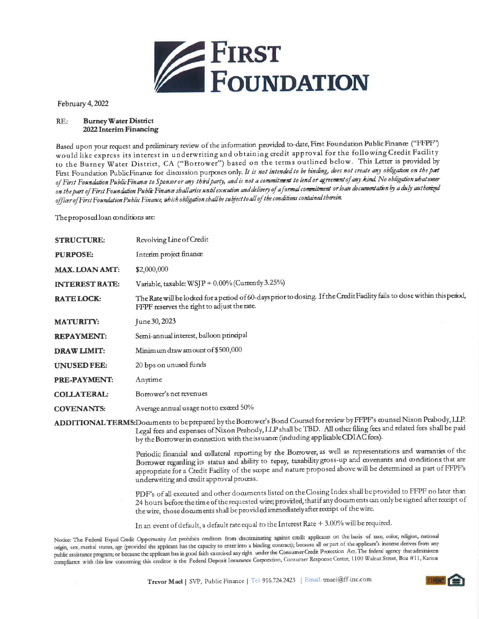

February 4, 2022

#### **Burney Water District** RE: 2022 Interim Financing

Based upon your request and preliminary review of the information provided to-date, First Foundation Public Finance ("FFPF") would like express its interest in underwriting and obtaining credit approval for the following Credit Facility to the Burney Water District, CA ("Borrower") based on the terms outlined below. This Letter is provided by First Foundation PublicFinance for discussion purposes only. It is not intended to be binding, does not create any obligation on the part of First Foundation PublicFinance to Sponsor or any third party, and is not a commitment to lend or agreement of any kind. No obligation whatsoever on the part of First Foundation Public Finance shall arise until execution and delivery of a formal commitment or loan documentation by a duly authorized officer of First Foundation Public Finance, which obligation shall be subject to all of the conditions contained therein.

The proposed loan conditions are:

| <b>STRUCTURE:</b>     | Revolving Line of Credit                                                                                                                                                                                                                                                                                                                                                                     |
|-----------------------|----------------------------------------------------------------------------------------------------------------------------------------------------------------------------------------------------------------------------------------------------------------------------------------------------------------------------------------------------------------------------------------------|
| <b>PURPOSE:</b>       | Interim project finance                                                                                                                                                                                                                                                                                                                                                                      |
| <b>MAX.LOAN AMT:</b>  | \$2,000,000                                                                                                                                                                                                                                                                                                                                                                                  |
| <b>INTEREST RATE:</b> | Variable, taxable: WSJP + 0.00% (Currently 3.25%)                                                                                                                                                                                                                                                                                                                                            |
| <b>RATELOCK:</b>      | The Rate will be locked for a period of 60-days prior to dosing. If the Credit Facility fails to dose within this period,<br>FFPF reserves the right to adjust the rate.                                                                                                                                                                                                                     |
| <b>MATURITY:</b>      | June 30, 2023                                                                                                                                                                                                                                                                                                                                                                                |
| <b>REPAYMENT:</b>     | Semi-annual interest, balloon principal                                                                                                                                                                                                                                                                                                                                                      |
| <b>DRAW LIMIT:</b>    | Minimum draw am ount of \$500,000                                                                                                                                                                                                                                                                                                                                                            |
| UNUSED FEE:           | 20 bps on unused funds                                                                                                                                                                                                                                                                                                                                                                       |
| PRE-PAYMENT:          | Anytime                                                                                                                                                                                                                                                                                                                                                                                      |
| <b>COLLATERAL:</b>    | Borrower's net revenues                                                                                                                                                                                                                                                                                                                                                                      |
| <b>COVENANTS:</b>     | Average annual usage not to exceed 50%                                                                                                                                                                                                                                                                                                                                                       |
|                       | ADDITIONAL TERMS:Documents to be prepared by the Borrower's Bond Counsel for review by FFPF's counsel Nixon Peabody, LLP.<br>Legal fees and expenses of Nixon Peabody, LLP shall be TBD. All other filing fees and related fees shall be paid<br>by the Borrower in connection with the issuance (induding applicable CDIAC fees).                                                           |
|                       | Periodic financial and collateral reporting by the Borrower, as well as representations and warranties of the<br>Borrower regarding its status and ability to repay, taxability gross-up and covenants and conditions that are<br>appropriate for a Credit Facility of the scope and nature proposed above will be determined as part of FFPF's<br>underwriting and credit approval process. |
|                       | PDF's of all executed and other documents listed on the Closing Index shall be provided to FFPF no later than<br>24 hours before the time of the requested wire; provided, that if any documents can only be signed after receipt of<br>the wire, those documents shall be provided immediately after receipt of the wire.                                                                   |

In an event of default, a default rate equal to the Interest Rate + 3.00% will be required.

Notice: The Federal Equal Credit Opportunity Act prohibits creditors from discriminating against credit applicants on the basis of race, color, religion, national origin, sex, marital status, age (provided the applicant has the capacity to enter into a binding contract); because all or part of the applicant's income derives from any public assistance program; or because the applicant has in good faith exercised any right under the Consumer Credit Protection Act. The federal agency that administers compliance with this law concerning this creditor is the Federal Deposit Insurance Corporation, Consumer Response Center, 1100 Walnut Street, Box #11, Kansas

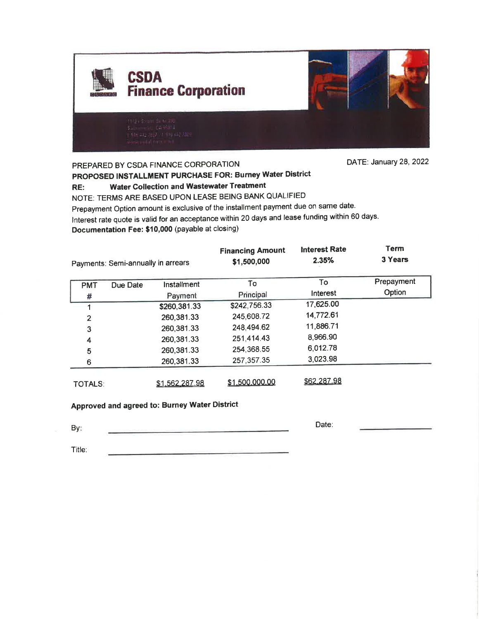

## PREPARED BY CSDA FINANCE CORPORATION DATE: January 28, 2022

# PROPOSEO INSTALLMENT PURCHASE FOR: Burney Water District

### RE: Water Gollection and Wastewater Treatment

NOTE: TERMS ARE BASED UPON LEASE BEING BANK QUALIFIED Prepayment Option amount is exclusive of the installment payment due on same date. lnterest rate quote is valid for an acceptance within 20 days and lease funding within 60 days' Documentation Fee: \$10,000 (payable at closing)

| Payments: Semi-annually in arrears |          | <b>Financing Amount</b><br>\$1,500,000 | <b>Interest Rate</b><br>2.35% | <b>Term</b><br>3 Years |            |
|------------------------------------|----------|----------------------------------------|-------------------------------|------------------------|------------|
| <b>PMT</b>                         | Due Date | Installment                            | To                            | To                     | Prepayment |
| #                                  |          | Payment                                | Principal                     | Interest               | Option     |
|                                    |          | \$260,381.33                           | \$242,756.33                  | 17,625.00              |            |
| $\overline{2}$                     |          | 260,381.33                             | 245,608.72                    | 14,772.61              |            |
| 3                                  |          | 260,381.33                             | 248,494.62                    | 11,886.71              |            |
| 4                                  |          | 260,381.33                             | 251,414.43                    | 8,966.90               |            |
| 5                                  |          | 260,381.33                             | 254,368.55                    | 6,012.78               |            |
| 6                                  |          | 260,381.33                             | 257, 357. 35                  | 3,023.98               |            |
| <b>TOTALS:</b>                     |          | \$1,562,287.98                         | \$1,500,000.00                | \$62,287.98            |            |

## Approved and agreed to: Burney Water District

| By:                                    | _______<br>the control of the company's statement of the control of the company's control of the control of<br>____                                                                                                           | Date: |  |  |
|----------------------------------------|-------------------------------------------------------------------------------------------------------------------------------------------------------------------------------------------------------------------------------|-------|--|--|
| Andrews and the company of the company | _______                                                                                                                                                                                                                       |       |  |  |
| Title:                                 | the control of the control of the control of the control of the control of the control of the control of the control of the control of the control of the control of the control of the control of the control of the control |       |  |  |